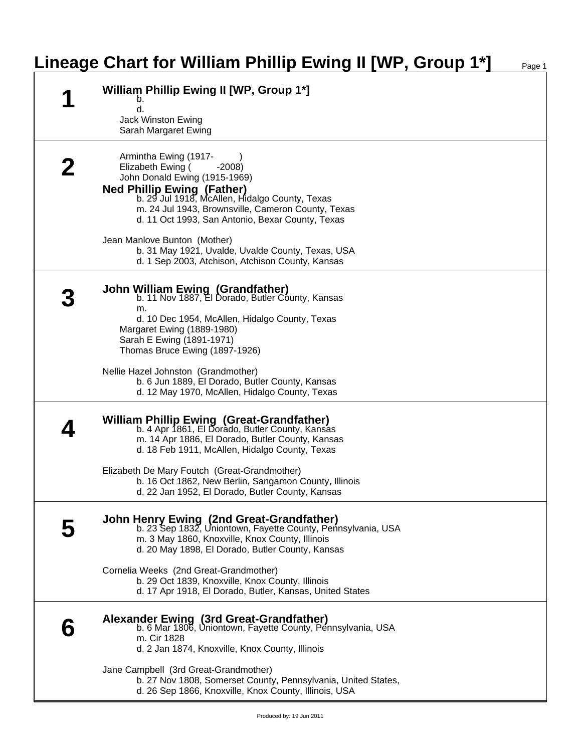## **Lineage Chart for William Phillip Ewing II [WP, Group 1\*]** Page 1

| <b>William Phillip Ewing II [WP, Group 1*]</b><br>b.<br>d.<br>Jack Winston Ewing<br>Sarah Margaret Ewing                                                                                                                                                                                                                                                                                                                                         |
|--------------------------------------------------------------------------------------------------------------------------------------------------------------------------------------------------------------------------------------------------------------------------------------------------------------------------------------------------------------------------------------------------------------------------------------------------|
| Armintha Ewing (1917-<br>Elizabeth Ewing (<br>$-2008)$<br>John Donald Ewing (1915-1969)<br><b>Ned Phillip Ewing (Father)</b><br>b. 29 Jul 1918, McAllen, Hidalgo County, Texas<br>m. 24 Jul 1943, Brownsville, Cameron County, Texas<br>d. 11 Oct 1993, San Antonio, Bexar County, Texas<br>Jean Manlove Bunton (Mother)<br>b. 31 May 1921, Uvalde, Uvalde County, Texas, USA                                                                    |
| d. 1 Sep 2003, Atchison, Atchison County, Kansas<br><b>John William Ewing (Grandfather)</b><br>b. 11 Nov 1887, El Dorado, Butler County, Kansas<br>m.<br>d. 10 Dec 1954, McAllen, Hidalgo County, Texas<br>Margaret Ewing (1889-1980)<br>Sarah E Ewing (1891-1971)<br>Thomas Bruce Ewing (1897-1926)<br>Nellie Hazel Johnston (Grandmother)<br>b. 6 Jun 1889, El Dorado, Butler County, Kansas<br>d. 12 May 1970, McAllen, Hidalgo County, Texas |
| William Phillip Ewing (Great-Grandfather)<br>b. 4 Apr 1861, El Dorado, Butler County, Kansas<br>m. 14 Apr 1886, El Dorado, Butler County, Kansas<br>d. 18 Feb 1911, McAllen, Hidalgo County, Texas<br>Elizabeth De Mary Foutch (Great-Grandmother)<br>b. 16 Oct 1862, New Berlin, Sangamon County, Illinois<br>d. 22 Jan 1952, El Dorado, Butler County, Kansas                                                                                  |
| John Henry Ewing (2nd Great-Grandfather)<br>b. 23 Sep 1832, Uniontown, Fayette County, Pennsylvania, USA<br>m. 3 May 1860, Knoxville, Knox County, Illinois<br>d. 20 May 1898, El Dorado, Butler County, Kansas<br>Cornelia Weeks (2nd Great-Grandmother)<br>b. 29 Oct 1839, Knoxville, Knox County, Illinois<br>d. 17 Apr 1918, El Dorado, Butler, Kansas, United States                                                                        |
| Alexander Ewing (3rd Great-Grandfather)<br>b. 6 Mar 1806, Uniontown, Fayette County, Pennsylvania, USA<br>m. Cir 1828<br>d. 2 Jan 1874, Knoxville, Knox County, Illinois<br>Jane Campbell (3rd Great-Grandmother)<br>b. 27 Nov 1808, Somerset County, Pennsylvania, United States,<br>d. 26 Sep 1866, Knoxville, Knox County, Illinois, USA                                                                                                      |